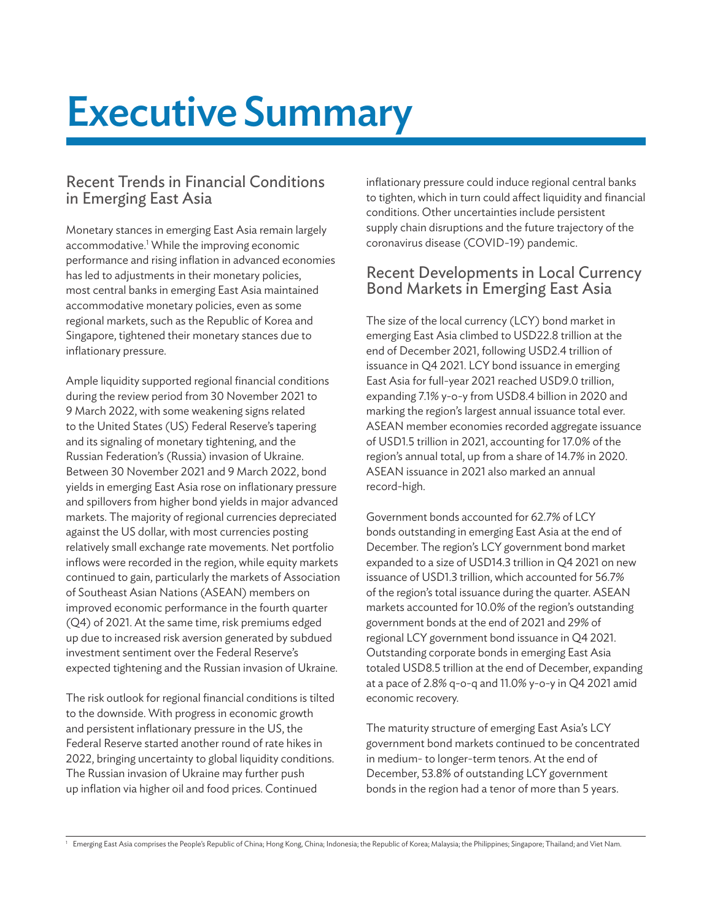# Executive Summary

# Recent Trends in Financial Conditions in Emerging East Asia

Monetary stances in emerging East Asia remain largely accommodative.<sup>1</sup> While the improving economic performance and rising inflation in advanced economies has led to adjustments in their monetary policies, most central banks in emerging East Asia maintained accommodative monetary policies, even as some regional markets, such as the Republic of Korea and Singapore, tightened their monetary stances due to inflationary pressure.

Ample liquidity supported regional financial conditions during the review period from 30 November 2021 to 9 March 2022, with some weakening signs related to the United States (US) Federal Reserve's tapering and its signaling of monetary tightening, and the Russian Federation's (Russia) invasion of Ukraine. Between 30 November 2021 and 9 March 2022, bond yields in emerging East Asia rose on inflationary pressure and spillovers from higher bond yields in major advanced markets. The majority of regional currencies depreciated against the US dollar, with most currencies posting relatively small exchange rate movements. Net portfolio inflows were recorded in the region, while equity markets continued to gain, particularly the markets of Association of Southeast Asian Nations (ASEAN) members on improved economic performance in the fourth quarter (Q4) of 2021. At the same time, risk premiums edged up due to increased risk aversion generated by subdued investment sentiment over the Federal Reserve's expected tightening and the Russian invasion of Ukraine.

The risk outlook for regional financial conditions is tilted to the downside. With progress in economic growth and persistent inflationary pressure in the US, the Federal Reserve started another round of rate hikes in 2022, bringing uncertainty to global liquidity conditions. The Russian invasion of Ukraine may further push up inflation via higher oil and food prices. Continued

inflationary pressure could induce regional central banks to tighten, which in turn could affect liquidity and financial conditions. Other uncertainties include persistent supply chain disruptions and the future trajectory of the coronavirus disease (COVID-19) pandemic.

## Recent Developments in Local Currency Bond Markets in Emerging East Asia

The size of the local currency (LCY) bond market in emerging East Asia climbed to USD22.8 trillion at the end of December 2021, following USD2.4 trillion of issuance in Q4 2021. LCY bond issuance in emerging East Asia for full-year 2021 reached USD9.0 trillion, expanding 7.1% y-o-y from USD8.4 billion in 2020 and marking the region's largest annual issuance total ever. ASEAN member economies recorded aggregate issuance of USD1.5 trillion in 2021, accounting for 17.0% of the region's annual total, up from a share of 14.7% in 2020. ASEAN issuance in 2021 also marked an annual record-high.

Government bonds accounted for 62.7% of LCY bonds outstanding in emerging East Asia at the end of December. The region's LCY government bond market expanded to a size of USD14.3 trillion in Q4 2021 on new issuance of USD1.3 trillion, which accounted for 56.7% of the region's total issuance during the quarter. ASEAN markets accounted for 10.0% of the region's outstanding government bonds at the end of 2021 and 29% of regional LCY government bond issuance in Q4 2021. Outstanding corporate bonds in emerging East Asia totaled USD8.5 trillion at the end of December, expanding at a pace of 2.8% q-o-q and 11.0% y-o-y in Q4 2021 amid economic recovery.

The maturity structure of emerging East Asia's LCY government bond markets continued to be concentrated in medium- to longer-term tenors. At the end of December, 53.8% of outstanding LCY government bonds in the region had a tenor of more than 5 years.

 $^{\rm !}~$  Emerging East Asia comprises the People's Republic of China; Hong Kong, China; Indonesia; the Republic of Korea; Malaysia; the Philippines; Singapore; Thailand; and Viet Nam.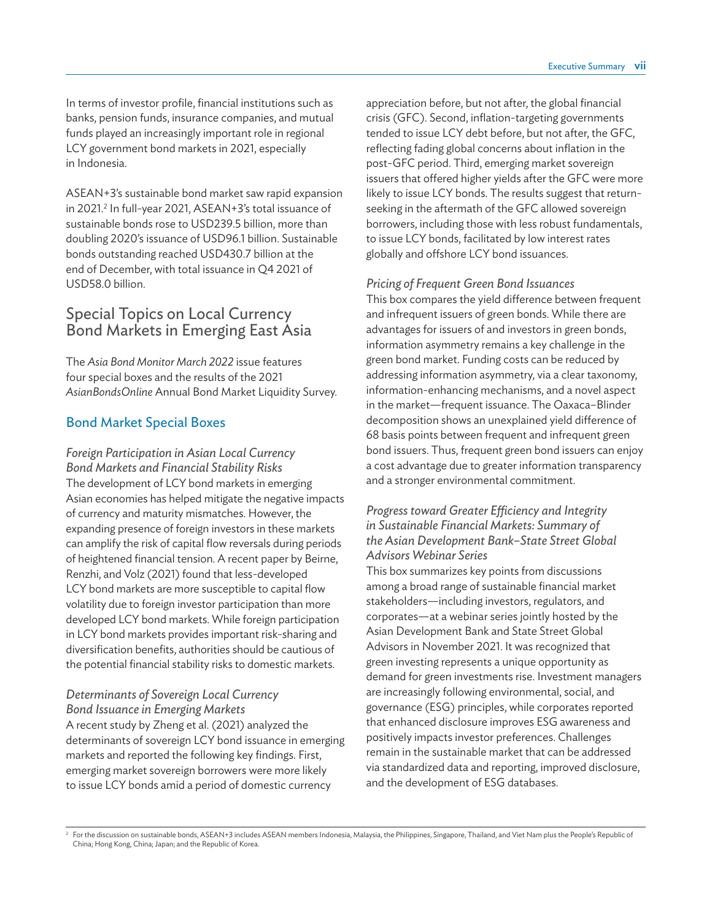In terms of investor profile, financial institutions such as banks, pension funds, insurance companies, and mutual funds played an increasingly important role in regional LCY government bond markets in 2021, especially in Indonesia.

ASEAN+3's sustainable bond market saw rapid expansion in 2021.<sup>2</sup> In full-year 2021, ASEAN+3's total issuance of sustainable bonds rose to USD239.5 billion, more than doubling 2020's issuance of USD96.1 billion. Sustainable bonds outstanding reached USD430.7 billion at the end of December, with total issuance in Q4 2021 of USD58.0 billion.

## Special Topics on Local Currency Bond Markets in Emerging East Asia

The *Asia Bond Monitor March 2022* issue features four special boxes and the results of the 2021 *AsianBondsOnline* Annual Bond Market Liquidity Survey.

#### Bond Market Special Boxes

*Foreign Participation in Asian Local Currency Bond Markets and Financial Stability Risks* The development of LCY bond markets in emerging Asian economies has helped mitigate the negative impacts of currency and maturity mismatches. However, the expanding presence of foreign investors in these markets can amplify the risk of capital flow reversals during periods of heightened financial tension. A recent paper by Beirne, Renzhi, and Volz (2021) found that less-developed LCY bond markets are more susceptible to capital flow volatility due to foreign investor participation than more developed LCY bond markets. While foreign participation in LCY bond markets provides important risk-sharing and diversification benefits, authorities should be cautious of the potential financial stability risks to domestic markets.

#### *Determinants of Sovereign Local Currency Bond Issuance in Emerging Markets*

A recent study by Zheng et al. (2021) analyzed the determinants of sovereign LCY bond issuance in emerging markets and reported the following key findings. First, emerging market sovereign borrowers were more likely to issue LCY bonds amid a period of domestic currency

appreciation before, but not after, the global financial crisis (GFC). Second, inflation-targeting governments tended to issue LCY debt before, but not after, the GFC, reflecting fading global concerns about inflation in the post-GFC period. Third, emerging market sovereign issuers that offered higher yields after the GFC were more likely to issue LCY bonds. The results suggest that returnseeking in the aftermath of the GFC allowed sovereign borrowers, including those with less robust fundamentals, to issue LCY bonds, facilitated by low interest rates globally and offshore LCY bond issuances.

#### *Pricing of Frequent Green Bond Issuances*

This box compares the yield difference between frequent and infrequent issuers of green bonds. While there are advantages for issuers of and investors in green bonds, information asymmetry remains a key challenge in the green bond market. Funding costs can be reduced by addressing information asymmetry, via a clear taxonomy, information-enhancing mechanisms, and a novel aspect in the market—frequent issuance. The Oaxaca–Blinder decomposition shows an unexplained yield difference of 68 basis points between frequent and infrequent green bond issuers. Thus, frequent green bond issuers can enjoy a cost advantage due to greater information transparency and a stronger environmental commitment.

#### *Progress toward Greater Efficiency and Integrity in Sustainable Financial Markets: Summary of the Asian Development Bank–State Street Global Advisors Webinar Series*

This box summarizes key points from discussions among a broad range of sustainable financial market stakeholders—including investors, regulators, and corporates—at a webinar series jointly hosted by the Asian Development Bank and State Street Global Advisors in November 2021. It was recognized that green investing represents a unique opportunity as demand for green investments rise. Investment managers are increasingly following environmental, social, and governance (ESG) principles, while corporates reported that enhanced disclosure improves ESG awareness and positively impacts investor preferences. Challenges remain in the sustainable market that can be addressed via standardized data and reporting, improved disclosure, and the development of ESG databases.

 $^{\rm 2}$  For the discussion on sustainable bonds, ASEAN+3 includes ASEAN members Indonesia, Malaysia, the Philippines, Singapore, Thailand, and Viet Nam plus the People's Republic of China; Hong Kong, China; Japan; and the Republic of Korea.